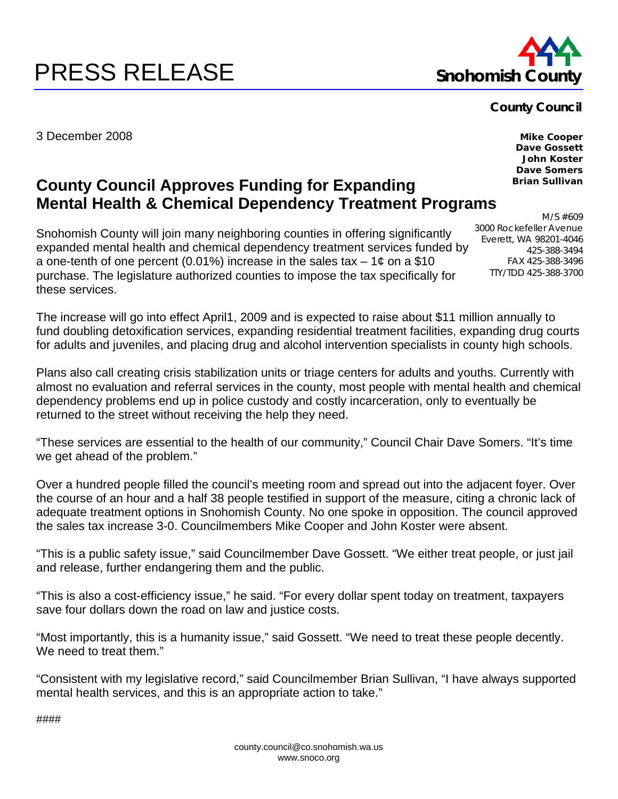## **PRESS RELEASE** Snohomish Co



## **County Council**

3000 Rockefeller Avenue Everett, WA 98201-4046

3 December 2008

**Mike Cooper Dave Gossett John Koster Dave Somers Brian Sullivan** 

M/S #609

425-388-3494 FAX 425-388-3496 TTY/TDD 425-388-3700

## **County Council Approves Funding for Expanding Mental Health & Chemical Dependency Treatment Programs**

Snohomish County will join many neighboring counties in offering significantly expanded mental health and chemical dependency treatment services funded by a one-tenth of one percent (0.01%) increase in the sales tax  $-1¢$  on a \$10 purchase. The legislature authorized counties to impose the tax specifically for these services.

The increase will go into effect April1, 2009 and is expected to raise about \$11 million annually to fund doubling detoxification services, expanding residential treatment facilities, expanding drug courts for adults and juveniles, and placing drug and alcohol intervention specialists in county high schools.

Plans also call creating crisis stabilization units or triage centers for adults and youths. Currently with almost no evaluation and referral services in the county, most people with mental health and chemical dependency problems end up in police custody and costly incarceration, only to eventually be returned to the street without receiving the help they need.

"These services are essential to the health of our community," Council Chair Dave Somers. "It's time we get ahead of the problem."

Over a hundred people filled the council's meeting room and spread out into the adjacent foyer. Over the course of an hour and a half 38 people testified in support of the measure, citing a chronic lack of adequate treatment options in Snohomish County. No one spoke in opposition. The council approved the sales tax increase 3-0. Councilmembers Mike Cooper and John Koster were absent.

"This is a public safety issue," said Councilmember Dave Gossett. "We either treat people, or just jail and release, further endangering them and the public.

"This is also a cost-efficiency issue," he said. "For every dollar spent today on treatment, taxpayers save four dollars down the road on law and justice costs.

"Most importantly, this is a humanity issue," said Gossett. "We need to treat these people decently. We need to treat them."

"Consistent with my legislative record," said Councilmember Brian Sullivan, "I have always supported mental health services, and this is an appropriate action to take."

####